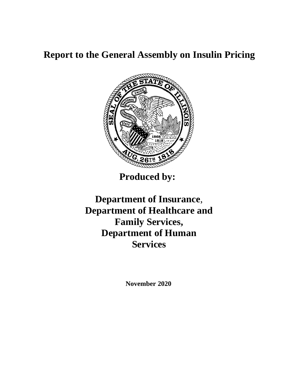# **Report to the General Assembly on Insulin Pricing**



**Produced by:**

**Department of Insurance**, **Department of Healthcare and Family Services, Department of Human Services**

**November 2020**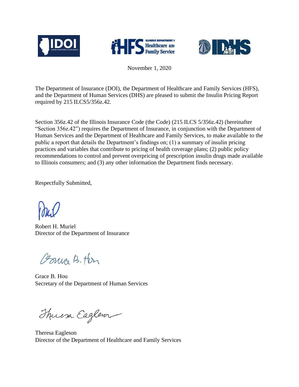





November 1, 2020

The Department of Insurance (DOI), the Department of Healthcare and Family Services (HFS), and the Department of Human Services (DHS) are pleased to submit the Insulin Pricing Report required by 215 ILCS5/356z.42.

Section 356z.42 of the Illinois Insurance Code (the Code) (215 ILCS 5/356z.42) (hereinafter "Section 356z.42") requires the Department of Insurance, in conjunction with the Department of Human Services and the Department of Healthcare and Family Services, to make available to the public a report that details the Department's findings on; (1) a summary of insulin pricing practices and variables that contribute to pricing of health coverage plans; (2) public policy recommendations to control and prevent overpricing of prescription insulin drugs made available to Illinois consumers; and (3) any other information the Department finds necessary.

Respectfully Submitted,

Robert H. Muriel Director of the Department of Insurance

Coma B. Her

Grace B. Hou Secretary of the Department of Human Services

Thuesa Eaglem

Theresa Eagleson Director of the Department of Healthcare and Family Services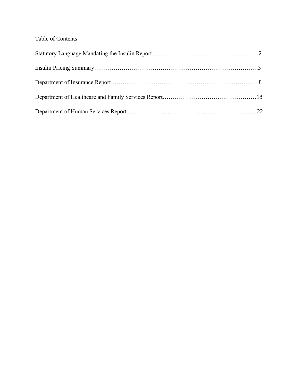# Table of Contents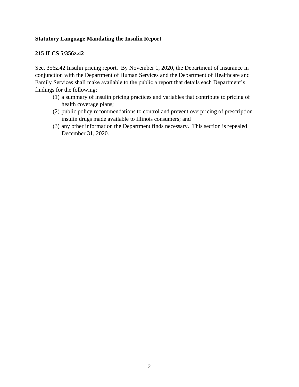#### **Statutory Language Mandating the Insulin Report**

#### **215 ILCS 5/356z.42**

Sec. 356z.42 Insulin pricing report. By November 1, 2020, the Department of Insurance in conjunction with the Department of Human Services and the Department of Healthcare and Family Services shall make available to the public a report that details each Department's findings for the following:

- (1) a summary of insulin pricing practices and variables that contribute to pricing of health coverage plans;
- (2) public policy recommendations to control and prevent overpricing of prescription insulin drugs made available to Illinois consumers; and
- (3) any other information the Department finds necessary. This section is repealed December 31, 2020.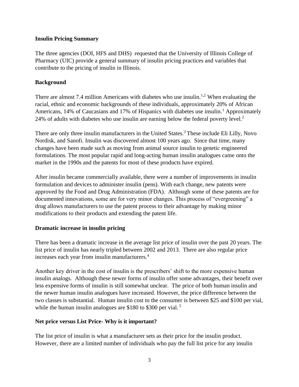#### **Insulin Pricing Summary**

The three agencies (DOI, HFS and DHS) requested that the University of Illinois College of Pharmacy (UIC) provide a general summary of insulin pricing practices and variables that contribute to the pricing of insulin in Illinois.

#### **Background**

There are almost 7.4 million Americans with diabetes who use insulin.<sup>1,2</sup> When evaluating the racial, ethnic and economic backgrounds of these individuals, approximately 20% of African Americans, 14% of Caucasians and 17% of Hispanics with diabetes use insulin.<sup>1</sup> Approximately 24% of adults with diabetes who use insulin are earning below the federal poverty level.<sup>2</sup>

There are only three insulin manufacturers in the United States.<sup>3</sup> These include Eli Lilly, Novo Nordisk, and Sanofi. Insulin was discovered almost 100 years ago. Since that time, many changes have been made such as moving from animal source insulin to genetic engineered formulations. The most popular rapid and long-acting human insulin analogues came onto the market in the 1990s and the patents for most of these products have expired.

After insulin became commercially available, there were a number of improvements in insulin formulation and devices to administer insulin (pens). With each change, new patents were approved by the Food and Drug Administration (FDA). Although some of these patents are for documented innovations, some are for very minor changes. This process of "evergreening" a drug allows manufacturers to use the patent process to their advantage by making minor modifications to their products and extending the patent life.

## **Dramatic increase in insulin pricing**

There has been a dramatic increase in the average list price of insulin over the past 20 years. The list price of insulin has nearly tripled between 2002 and 2013. There are also regular price increases each year from insulin manufacturers.<sup>4</sup>

Another key driver in the cost of insulin is the prescribers' shift to the more expensive human insulin analogs. Although these newer forms of insulin offer some advantages, their benefit over less expensive forms of insulin is still somewhat unclear. The price of both human insulin and the newer human insulin analogues have increased. However, the price difference between the two classes is substantial. Human insulin cost to the consumer is between \$25 and \$100 per vial, while the human insulin analogues are \$180 to \$300 per vial.<sup>5</sup>

## **Net price versus List Price- Why is it important?**

The list price of insulin is what a manufacturer sets as their price for the insulin product. However, there are a limited number of individuals who pay the full list price for any insulin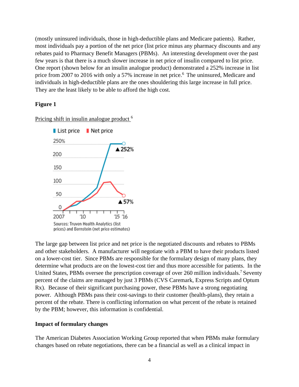(mostly uninsured individuals, those in high-deductible plans and Medicare patients). Rather, most individuals pay a portion of the net price (list price minus any pharmacy discounts and any rebates paid to Pharmacy Benefit Managers (PBMs). An interesting development over the past few years is that there is a much slower increase in net price of insulin compared to list price. One report (shown below for an insulin analogue product) demonstrated a 252% increase in list price from 2007 to 2016 with only a 57% increase in net price.<sup>6</sup> The uninsured, Medicare and individuals in high-deductible plans are the ones shouldering this large increase in full price. They are the least likely to be able to afford the high cost.

#### **Figure 1**

Pricing shift in insulin analogue product<sup>6</sup>



The large gap between list price and net price is the negotiated discounts and rebates to PBMs and other stakeholders. A manufacturer will negotiate with a PBM to have their products listed on a lower-cost tier. Since PBMs are responsible for the formulary design of many plans, they determine what products are on the lowest-cost tier and thus more accessible for patients. In the United States, PBMs oversee the prescription coverage of over 260 million individuals.<sup>7</sup> Seventy percent of the claims are managed by just 3 PBMs (CVS Caremark, Express Scripts and Optum Rx). Because of their significant purchasing power, these PBMs have a strong negotiating power. Although PBMs pass their cost-savings to their customer (health-plans), they retain a percent of the rebate. There is conflicting information on what percent of the rebate is retained by the PBM; however, this information is confidential.

#### **Impact of formulary changes**

The American Diabetes Association Working Group reported that when PBMs make formulary changes based on rebate negotiations, there can be a financial as well as a clinical impact in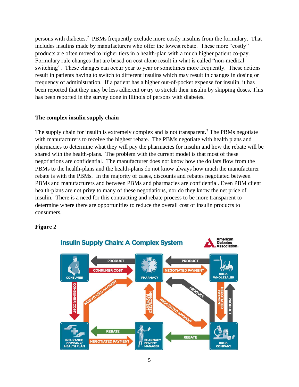persons with diabetes.<sup>7</sup> PBMs frequently exclude more costly insulins from the formulary. That includes insulins made by manufacturers who offer the lowest rebate. These more "costly" products are often moved to higher tiers in a health-plan with a much higher patient co-pay. Formulary rule changes that are based on cost alone result in what is called "non-medical switching". These changes can occur year to year or sometimes more frequently. These actions result in patients having to switch to different insulins which may result in changes in dosing or frequency of administration. If a patient has a higher out-of-pocket expense for insulin, it has been reported that they may be less adherent or try to stretch their insulin by skipping doses. This has been reported in the survey done in Illinois of persons with diabetes.

#### **The complex insulin supply chain**

The supply chain for insulin is extremely complex and is not transparent.<sup>7</sup> The PBMs negotiate with manufacturers to receive the highest rebate. The PBMs negotiate with health plans and pharmacies to determine what they will pay the pharmacies for insulin and how the rebate will be shared with the health-plans. The problem with the current model is that most of these negotiations are confidential. The manufacturer does not know how the dollars flow from the PBMs to the health-plans and the health-plans do not know always how much the manufacturer rebate is with the PBMs. In the majority of cases, discounts and rebates negotiated between PBMs and manufacturers and between PBMs and pharmacies are confidential. Even PBM client health-plans are not privy to many of these negotiations, nor do they know the net price of insulin. There is a need for this contracting and rebate process to be more transparent to determine where there are opportunities to reduce the overall cost of insulin products to consumers.

#### **Figure 2**

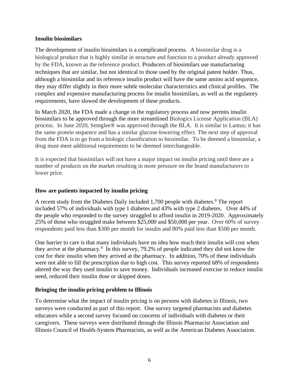#### **Insulin biosimilars**

The development of insulin biosimilars is a complicated process. A biosimilar drug is a biological product that is highly similar in structure and function to a product already approved by the FDA, known as the reference product. Producers of biosimilars use manufacturing techniques that are similar, but not identical to those used by the original patent holder. Thus, although a biosimilar and its reference insulin product will have the same amino acid sequence, they may differ slightly in their more subtle molecular characteristics and clinical profiles. The complex and expensive manufacturing process for insulin biosimilars, as well as the regulatory requirements, have slowed the development of these products.

In March 2020, the FDA made a change in the regulatory process and now permits insulin biosimilars to be approved through the more streamlined Biologics License Application (BLA) process. In June 2020, Semglee® was approved through the BLA. It is similar to Lantus; it has the same protein sequence and has a similar glucose-lowering effect. The next step of approval from the FDA is to go from a biologic classification to biosimilar. To be deemed a biosimilar, a drug must meet additional requirements to be deemed interchangeable.

It is expected that biosimilars will not have a major impact on insulin pricing until there are a number of products on the market resulting in more pressure on the brand manufacturers to lower price.

#### **How are patients impacted by insulin pricing**

A recent study from the Diabetes Daily included 1,700 people with diabetes.<sup>8</sup> The report included 57% of individuals with type 1 diabetes and 43% with type 2 diabetes. Over 44% of the people who responded to the survey struggled to afford insulin in 2019-2020. Approximately 25% of those who struggled make between \$25,000 and \$50,000 per year. Over 60% of survey respondents paid less than \$300 per month for insulin and 80% paid less than \$500 per month.

One barrier to care is that many individuals have no idea how much their insulin will cost when they arrive at the pharmacy.<sup>8</sup> In this survey, 79.2% of people indicated they did not know the cost for their insulin when they arrived at the pharmacy. In addition, 70% of these individuals were not able to fill the prescription due to high cost. This survey reported 68% of respondents altered the way they used insulin to save money. Individuals increased exercise to reduce insulin need, reduced their insulin dose or skipped doses.

#### **Bringing the insulin pricing problem to Illinois**

To determine what the impact of insulin pricing is on persons with diabetes in Illinois, two surveys were conducted as part of this report. One survey targeted pharmacists and diabetes educators while a second survey focused on concerns of individuals with diabetes or their caregivers. These surveys were distributed through the Illinois Pharmacist Association and Illinois Council of Health-System Pharmacists, as well as the American Diabetes Association.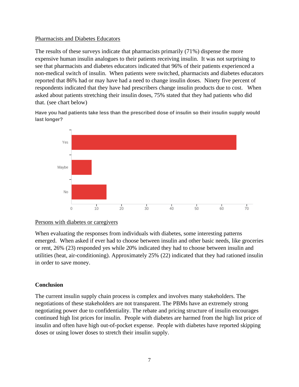#### Pharmacists and Diabetes Educators

The results of these surveys indicate that pharmacists primarily (71%) dispense the more expensive human insulin analogues to their patients receiving insulin. It was not surprising to see that pharmacists and diabetes educators indicated that 96% of their patients experienced a non-medical switch of insulin. When patients were switched, pharmacists and diabetes educators reported that 86% had or may have had a need to change insulin doses. Ninety five percent of respondents indicated that they have had prescribers change insulin products due to cost. When asked about patients stretching their insulin doses, 75% stated that they had patients who did that. (see chart below)

**Have you had patients take less than the prescribed dose of insulin so their insulin supply would last longer?**



#### Persons with diabetes or caregivers

When evaluating the responses from individuals with diabetes, some interesting patterns emerged. When asked if ever had to choose between insulin and other basic needs, like groceries or rent, 26% (23) responded yes while 20% indicated they had to choose between insulin and utilities (heat, air-conditioning). Approximately 25% (22) indicated that they had rationed insulin in order to save money.

## **Conclusion**

The current insulin supply chain process is complex and involves many stakeholders. The negotiations of these stakeholders are not transparent. The PBMs have an extremely strong negotiating power due to confidentiality. The rebate and pricing structure of insulin encourages continued high list prices for insulin. People with diabetes are harmed from the high list price of insulin and often have high out-of-pocket expense. People with diabetes have reported skipping doses or using lower doses to stretch their insulin supply.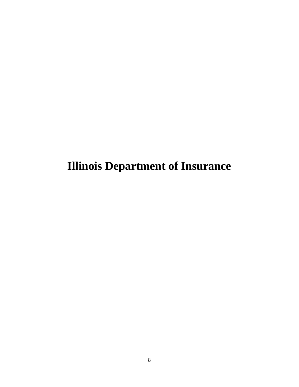**Illinois Department of Insurance**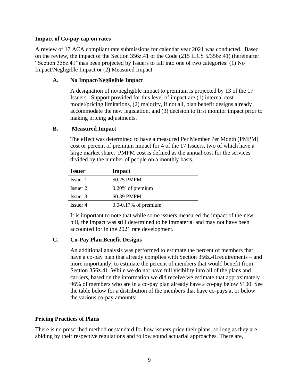#### **Impact of Co-pay cap on rates**

A review of 17 ACA compliant rate submissions for calendar year 2021 was conducted. Based on the review, the impact of the Section 356z.41 of the Code (215 ILCS 5/356z.41) (hereinafter "Section 356z.41")has been projected by Issuers to fall into one of two categories: (1) No Impact/Negligible Impact or (2) Measured Impact

## **A. No Impact/Negligible Impact**

A designation of no/negligible impact to premium is projected by 13 of the 17 Issuers. Support provided for this level of impact are (1) internal cost model/pricing limitations, (2) majority, if not all, plan benefit designs already accommodate the new legislation, and (3) decision to first monitor impact prior to making pricing adjustments.

#### **B. Measured Impact**

The effect was determined to have a measured Per Member Per Month (PMPM) cost or percent of premium impact for 4 of the 17 Issuers, two of which have a large market share. PMPM cost is defined as the annual cost for the services divided by the number of people on a monthly basis.

| <b>Issuer</b> | Impact                   |
|---------------|--------------------------|
| Issuer 1      | \$0.25 PMPM              |
| Issuer 2      | 0.20% of premium         |
| Issuer 3      | \$0.39 PMPM              |
| Issuer 4      | $0.0 - 0.17%$ of premium |

It is important to note that while some issuers measured the impact of the new bill, the impact was still determined to be immaterial and may not have been accounted for in the 2021 rate development.

## **C. Co-Pay Plan Benefit Designs**

An additional analysis was performed to estimate the percent of members that have a co-pay plan that already complies with Section 356z.41 requirements – and more importantly, to estimate the percent of members that would benefit from Section 356z.41. While we do not have full visibility into all of the plans and carriers, based on the information we did receive we estimate that approximately 96% of members who are in a co-pay plan already have a co-pay below \$100. See the table below for a distribution of the members that have co-pays at or below the various co-pay amounts:

#### **Pricing Practices of Plans**

There is no prescribed method or standard for how issuers price their plans, so long as they are abiding by their respective regulations and follow sound actuarial approaches. There are,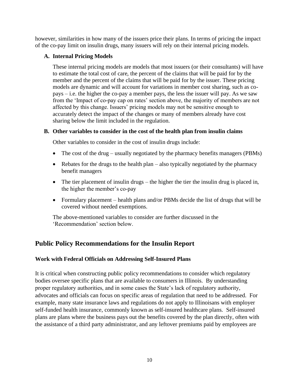however, similarities in how many of the issuers price their plans. In terms of pricing the impact of the co-pay limit on insulin drugs, many issuers will rely on their internal pricing models.

## **A. Internal Pricing Models**

These internal pricing models are models that most issuers (or their consultants) will have to estimate the total cost of care, the percent of the claims that will be paid for by the member and the percent of the claims that will be paid for by the issuer. These pricing models are dynamic and will account for variations in member cost sharing, such as copays – i.e. the higher the co-pay a member pays, the less the issuer will pay. As we saw from the 'Impact of co-pay cap on rates' section above, the majority of members are not affected by this change. Issuers' pricing models may not be sensitive enough to accurately detect the impact of the changes or many of members already have cost sharing below the limit included in the regulation.

## **B. Other variables to consider in the cost of the health plan from insulin claims**

Other variables to consider in the cost of insulin drugs include:

- The cost of the drug usually negotiated by the pharmacy benefits managers (PBMs)
- Rebates for the drugs to the health plan also typically negotiated by the pharmacy benefit managers
- The tier placement of insulin drugs the higher the tier the insulin drug is placed in, the higher the member's co-pay
- Formulary placement health plans and/or PBMs decide the list of drugs that will be covered without needed exemptions.

The above-mentioned variables to consider are further discussed in the 'Recommendation' section below.

# **Public Policy Recommendations for the Insulin Report**

## **Work with Federal Officials on Addressing Self-Insured Plans**

It is critical when constructing public policy recommendations to consider which regulatory bodies oversee specific plans that are available to consumers in Illinois. By understanding proper regulatory authorities, and in some cases the State's lack of regulatory authority, advocates and officials can focus on specific areas of regulation that need to be addressed. For example, many state insurance laws and regulations do not apply to Illinoisans with employer self-funded health insurance, commonly known as self-insured healthcare plans. Self-insured plans are plans where the business pays out the benefits covered by the plan directly, often with the assistance of a third party administrator, and any leftover premiums paid by employees are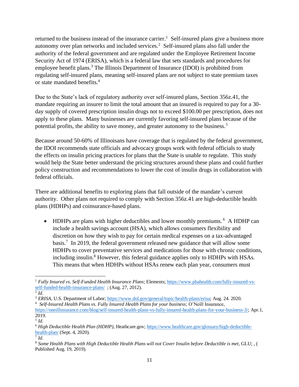returned to the business instead of the insurance carrier.<sup>1</sup> Self-insured plans give a business more autonomy over plan networks and included services.<sup>2</sup> Self-insured plans also fall under the authority of the federal government and are regulated under the Employee Retirement Income Security Act of 1974 (ERISA), which is a federal law that sets standards and procedures for employee benefit plans.<sup>3</sup> The Illinois Department of Insurance (IDOI) is prohibited from regulating self-insured plans, meaning self-insured plans are not subject to state premium taxes or state mandated benefits.<sup>4</sup>

Due to the State's lack of regulatory authority over self-insured plans, Section 356z.41, the mandate requiring an insurer to limit the total amount that an insured is required to pay for a 30 day supply of covered prescription insulin drugs not to exceed \$100.00 per prescription, does not apply to these plans. Many businesses are currently favoring self-insured plans because of the potential profits, the ability to save money, and greater autonomy to the business.<sup>5</sup>

Because around 50-60% of Illinoisans have coverage that is regulated by the federal government, the IDOI recommends state officials and advocacy groups work with federal officials to study the effects on insulin pricing practices for plans that the State is unable to regulate. This study would help the State better understand the pricing structures around these plans and could further policy construction and recommendations to lower the cost of insulin drugs in collaboration with federal officials.

There are additional benefits to exploring plans that fall outside of the mandate's current authority. Other plans not required to comply with Section 356z.41 are high-deductible health plans (HDHPs) and coinsurance-based plans.

• HDHPs are plans with higher deductibles and lower monthly premiums.<sup>6</sup> A HDHP can include a health savings account (HSA), which allows consumers flexibility and discretion on how they wish to pay for certain medical expenses on a tax-advantaged basis.<sup>7</sup> In 2019, the federal government released new guidance that will allow some HDHPs to cover preventative services and medications for those with chronic conditions, including insulin.<sup>8</sup> However, this federal guidance applies only to HDHPs with HSAs. This means that when HDHPs without HSAs renew each plan year, consumers must

<sup>1</sup> *Fully Insured vs. Self-Funded Health Insurance Plans*; Elements; [https://www.pbahealth.com/fully-insured-vs](https://www.pbahealth.com/fully-insured-vs-self-funded-health-insurance-plans/)[self-funded-health-insurance-plans/](https://www.pbahealth.com/fully-insured-vs-self-funded-health-insurance-plans/); (Aug. 27, 2012).

<sup>2</sup> *Id*.

<sup>&</sup>lt;sup>3</sup> *ERISA*, U.S. Department of Labor[; https://www.dol.gov/general/topic/health-plans/erisa;](https://www.dol.gov/general/topic/health-plans/erisa) Aug. 24. 2020.

<sup>4</sup> *Self-Insured Health Plans vs. Fully Insured Health Plans for your business*; O'Neill Insurance, [https://oneillinsurance.com/blog/self-insured-health-plans-vs-fully-insured-health-plans-for-your-business-3/;](https://oneillinsurance.com/blog/self-insured-health-plans-vs-fully-insured-health-plans-for-your-business-3/) Apr.1, 2019.

<sup>5</sup> *Id*.

<sup>6</sup> *High Deductible Health Plan (HDHP),* Heathcare.gov[; https://www.healthcare.gov/glossary/high-deductible](https://www.healthcare.gov/glossary/high-deductible-health-plan/)[health-plan/](https://www.healthcare.gov/glossary/high-deductible-health-plan/) (Sept. 4, 2020).

<sup>7</sup> *Id*.

<sup>&</sup>lt;sup>8</sup> Some Health Plans with High Deductible Health Plans will not Cover Insulin before Deductible is met, GLU;, ( Published Aug. 19, 2019).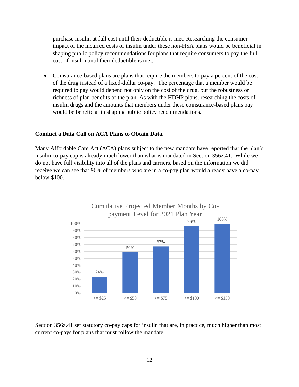purchase insulin at full cost until their deductible is met. Researching the consumer impact of the incurred costs of insulin under these non-HSA plans would be beneficial in shaping public policy recommendations for plans that require consumers to pay the full cost of insulin until their deductible is met.

• Coinsurance-based plans are plans that require the members to pay a percent of the cost of the drug instead of a fixed-dollar co-pay. The percentage that a member would be required to pay would depend not only on the cost of the drug, but the robustness or richness of plan benefits of the plan. As with the HDHP plans, researching the costs of insulin drugs and the amounts that members under these coinsurance-based plans pay would be beneficial in shaping public policy recommendations.

#### **Conduct a Data Call on ACA Plans to Obtain Data.**

Many Affordable Care Act (ACA) plans subject to the new mandate have reported that the plan's insulin co-pay cap is already much lower than what is mandated in Section 356z.41. While we do not have full visibility into all of the plans and carriers, based on the information we did receive we can see that 96% of members who are in a co-pay plan would already have a co-pay below \$100.



Section 356z.41 set statutory co-pay caps for insulin that are, in practice, much higher than most current co-pays for plans that must follow the mandate.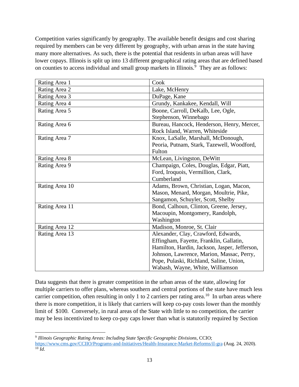Competition varies significantly by geography. The available benefit designs and cost sharing required by members can be very different by geography, with urban areas in the state having many more alternatives. As such, there is the potential that residents in urban areas will have lower copays. Illinois is split up into 13 different geographical rating areas that are defined based on counties to access individual and small group markets in Illinois.<sup>9</sup> They are as follows:

| Rating Area 1  | Cook                                          |
|----------------|-----------------------------------------------|
| Rating Area 2  | Lake, McHenry                                 |
| Rating Area 3  | DuPage, Kane                                  |
| Rating Area 4  | Grundy, Kankakee, Kendall, Will               |
| Rating Area 5  | Boone, Carroll, DeKalb, Lee, Ogle,            |
|                | Stephenson, Winnebago                         |
| Rating Area 6  | Bureau, Hancock, Henderson, Henry, Mercer,    |
|                | Rock Island, Warren, Whiteside                |
| Rating Area 7  | Knox, LaSalle, Marshall, McDonough,           |
|                | Peoria, Putnam, Stark, Tazewell, Woodford,    |
|                | Fulton                                        |
| Rating Area 8  | McLean, Livingston, DeWitt                    |
| Rating Area 9  | Champaign, Coles, Douglas, Edgar, Piatt,      |
|                | Ford, Iroquois, Vermillion, Clark,            |
|                | Cumberland                                    |
| Rating Area 10 | Adams, Brown, Christian, Logan, Macon,        |
|                | Mason, Menard, Morgan, Moultrie, Pike,        |
|                | Sangamon, Schuyler, Scott, Shelby             |
| Rating Area 11 | Bond, Calhoun, Clinton, Greene, Jersey,       |
|                | Macoupin, Montgomery, Randolph,               |
|                | Washington                                    |
| Rating Area 12 | Madison, Monroe, St. Clair                    |
| Rating Area 13 | Alexander, Clay, Crawford, Edwards,           |
|                | Effingham, Fayette, Franklin, Gallatin,       |
|                | Hamilton, Hardin, Jackson, Jasper, Jefferson, |
|                | Johnson, Lawrence, Marion, Massac, Perry,     |
|                | Pope, Pulaski, Richland, Saline, Union,       |
|                | Wabash, Wayne, White, Williamson              |

Data suggests that there is greater competition in the urban areas of the state, allowing for multiple carriers to offer plans, whereas southern and central portions of the state have much less carrier competition, often resulting in only 1 to 2 carriers per rating area.<sup>10</sup> In urban areas where there is more competition, it is likely that carriers will keep co-pay costs lower than the monthly limit of \$100. Conversely, in rural areas of the State with little to no competition, the carrier may be less incentivized to keep co-pay caps lower than what is statutorily required by Section

<sup>9</sup> *Illinois Geographic Rating Areas: Including State Specific Geographic Divisions*, CCIO; <https://www.cms.gov/CCIIO/Programs-and-Initiatives/Health-Insurance-Market-Reforms/il-gra> (Aug. 24, 2020).  $\overline{^{10}$  *Id.*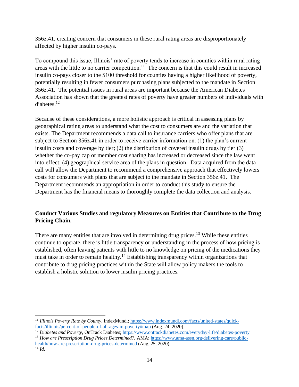356z.41, creating concern that consumers in these rural rating areas are disproportionately affected by higher insulin co-pays.

To compound this issue, Illinois' rate of poverty tends to increase in counties within rural rating areas with the little to no carrier competition.<sup>11</sup> The concern is that this could result in increased insulin co-pays closer to the \$100 threshold for counties having a higher likelihood of poverty, potentially resulting in fewer consumers purchasing plans subjected to the mandate in Section 356z.41. The potential issues in rural areas are important because the American Diabetes Association has shown that the greatest rates of poverty have greater numbers of individuals with diabetes.<sup>12</sup>

Because of these considerations, a more holistic approach is critical in assessing plans by geographical rating areas to understand what the cost to consumers are and the variation that exists. The Department recommends a data call to insurance carriers who offer plans that are subject to Section 356z.41 in order to receive carrier information on: (1) the plan's current insulin costs and coverage by tier; (2) the distribution of covered insulin drugs by tier (3) whether the co-pay cap or member cost sharing has increased or decreased since the law went into effect; (4) geographical service area of the plans in question. Data acquired from the data call will allow the Department to recommend a comprehensive approach that effectively lowers costs for consumers with plans that are subject to the mandate in Section 356z.41. The Department recommends an appropriation in order to conduct this study to ensure the Department has the financial means to thoroughly complete the data collection and analysis.

# **Conduct Various Studies and regulatory Measures on Entities that Contribute to the Drug Pricing Chain.**

There are many entities that are involved in determining drug prices.<sup>13</sup> While these entities continue to operate, there is little transparency or understanding in the process of how pricing is established, often leaving patients with little to no knowledge on pricing of the medications they must take in order to remain healthy.<sup>14</sup> Establishing transparency within organizations that contribute to drug pricing practices within the State will allow policy makers the tools to establish a holistic solution to lower insulin pricing practices.

<sup>11</sup> *Illinois Poverty Rate by County*, IndexMundi; [https://www.indexmundi.com/facts/united-states/quick](https://www.indexmundi.com/facts/united-states/quick-facts/illinois/percent-of-people-of-all-ages-in-poverty#map)[facts/illinois/percent-of-people-of-all-ages-in-poverty#map](https://www.indexmundi.com/facts/united-states/quick-facts/illinois/percent-of-people-of-all-ages-in-poverty#map) (Aug. 24, 2020).

<sup>&</sup>lt;sup>12</sup> Diabetes and Poverty, OnTrack Diabetes;<https://www.ontrackdiabetes.com/everyday-life/diabetes-poverty>

<sup>13</sup> *How are Prescription Drug Prices Determined?,* AMA[; https://www.ama-assn.org/delivering-care/public](https://www.ama-assn.org/delivering-care/public-health/how-are-prescription-drug-prices-determined)[health/how-are-prescription-drug-prices-determined](https://www.ama-assn.org/delivering-care/public-health/how-are-prescription-drug-prices-determined) (Aug. 25, 2020).  $\overline{^{14}Id}$ .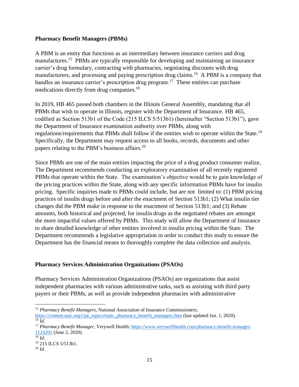#### **Pharmacy Benefit Managers (PBMs)**

A PBM is an entity that functions as an intermediary between insurance carriers and drug manufactures.<sup>15</sup> PBMs are typically responsible for developing and maintaining an insurance carrier's drug formulary, contracting with pharmacies, negotiating discounts with drug manufacturers, and processing and paying prescription drug claims.<sup>16</sup> A PBM is a company that handles an insurance carrier's prescription drug program.<sup>17</sup> These entities can purchase medications directly from drug companies.<sup>18</sup>

In 2019, HB 465 passed both chambers in the Illinois General Assembly, mandating that all PBMs that wish to operate in Illinois, register with the Department of Insurance. HB 465, codified as Section 513b1 of the Code (215 ILCS 5/513b1) (hereinafter "Section 513b1"), gave the Department of Insurance examination authority over PBMs, along with regulations/requirements that PBMs shall follow if the entities wish to operate within the State.<sup>19</sup> Specifically, the Department may request access to all books, records, documents and other papers relating to the PBM's business affairs.<sup>20</sup>

Since PBMs are one of the main entities impacting the price of a drug product consumer realize, The Department recommends conducting an exploratory examination of all recently registered PBMs that operate within the State. The examination's objective would be to gain knowledge of the pricing practices within the State, along with any specific information PBMs have for insulin pricing. Specific inquiries made to PBMs could include, but are not limited to: (1) PBM pricing practices of insulin drugs before and after the enactment of Section 513b1; (2) What insulin tier changes did the PBM make in response to the enactment of Section 513b1; and (3) Rebate amounts, both historical and projected, for insulin drugs as the negotiated rebates are amongst the more impactful values offered by PBMs. This study will allow the Department of Insurance to share detailed knowledge of other entities involved in insulin pricing within the State. The Department recommends a legislative appropriation in order to conduct this study to ensure the Department has the financial means to thoroughly complete the data collection and analysis.

## **Pharmacy Services Administration Organizations (PSAOs)**

Pharmacy Services Administration Organizations (PSAOs) are organizations that assist independent pharmacies with various administrative tasks, such as assisting with third party payers or their PBMs, as well as provide independent pharmacies with administrative

<sup>15</sup> *Pharmacy Benefit Managers*, National Association of Insurance Commissioners;

[https://content.naic.org/cipr\\_topics/topic\\_pharmacy\\_benefit\\_managers.htm](https://content.naic.org/cipr_topics/topic_pharmacy_benefit_managers.htm) (last updated Jan. 1, 2020).  $\overline{^{16}}$  *Id.* 

<sup>17</sup> *Pharmacy Benefit Manager*, Verywell Health[; https://www.verywellhealth.com/pharmacy-benefit-manager-](https://www.verywellhealth.com/pharmacy-benefit-manager-1124201)[1124201](https://www.verywellhealth.com/pharmacy-benefit-manager-1124201) (June 2, 2020).

 $^{18}$  *Id.* <sup>19</sup> 215 ILCS 5/513b1.

<sup>20</sup> *Id.*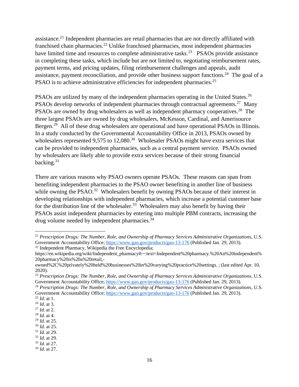assistance.<sup>21</sup> Independent pharmacies are retail pharmacies that are not directly affiliated with franchised chain pharmacies.<sup>22</sup> Unlike franchised pharmacies, most independent pharmacies have limited time and resources to complete administrative tasks.<sup>23</sup> PSAOs provide assistance in completing these tasks, which include but are not limited to, negotiating reimbursement rates, payment terms, and pricing updates, filing reimbursement challenges and appeals, audit assistance, payment reconciliation, and provide other business support functions.<sup>24</sup> The goal of a PSAO is to achieve administrative efficiencies for independent pharmacies.<sup>25</sup>

PSAOs are utilized by many of the independent pharmacies operating in the United States.<sup>26</sup> PSAOs develop networks of independent pharmacies through contractual agreements.<sup>27</sup> Many PSAOs are owned by drug wholesalers as well as independent pharmacy cooperatives.<sup>28</sup> The three largest PSAOs are owned by drug wholesalers, McKesson, Cardinal, and Amerisource Bergen.<sup>29</sup> All of these drug wholesalers are operational and have operational PSAOs in Illinois. In a study conducted by the Governmental Accountability Office in 2013, PSAOs owned by wholesalers represented  $9,575$  to  $12,080$ .<sup>30</sup> Wholesaler PSAOs might have extra services that can be provided to independent pharmacies, such as a central payment service. PSAOs owned by wholesalers are likely able to provide extra services because of their strong financial backing. $31$ 

There are various reasons why PSAO owners operate PSAOs. These reasons can span from benefiting independent pharmacies to the PSAO owner benefiting in another line of business while owning the PSAO.<sup>32</sup> Wholesalers benefit by owning PSAOs because of their interest in developing relationships with independent pharmacies, which increase a potential customer base for the distribution line of the wholesaler.<sup>33</sup> Wholesalers may also benefit by having their PSAOs assist independent pharmacies by entering into multiple PBM contracts, increasing the drug volume needed by independent pharmacies.<sup>34</sup>

<sup>21</sup> *Prescription Drugs: The Number, Role, and Ownership of Pharmacy Services Administrative Organizations*, U.S. Government Accountability Office;<https://www.gao.gov/products/gao-13-176> (Published Jan. 29, 2013). <sup>22</sup> Independent Pharmacy, Wikipedia the Free Encyclopedia;

https://en.wikipedia.org/wiki/Independent\_pharmacy#:~:text=Independent%20pharmacy.%20An%20independent% 20pharmacy%20is%20a%20retail,-

owned%2C%20privately%20held%20businesses%20in%20varying%20practice%20settings. ; (last edited Apr. 10, 2020).

<sup>23</sup> *Prescription Drugs: The Number, Role, and Ownership of Pharmacy Services Administrative Organizations*, U.S. Government Accountability Office;<https://www.gao.gov/products/gao-13-176> (Published Jan. 29, 2013).

<sup>24</sup> *Prescription Drugs: The Number, Role, and Ownership of Pharmacy Services Administrative Organizations*, U.S. Government Accountability Office[; https://www.gao.gov/products/gao-13-176](https://www.gao.gov/products/gao-13-176) (Published Jan. 29, 2013).

<sup>25</sup> *Id*. at 1.

<sup>26</sup> *Id*. at 3. <sup>27</sup> *Id*. at 2.

<sup>28</sup> *Id.* at 4.

<sup>29</sup> *Id*. at 25.

<sup>30</sup> *Id*. at 25.

<sup>31</sup> *Id.* at 29.

<sup>32</sup> *Id*. at 29.

<sup>33</sup> *Id*. at 27.

<sup>34</sup> *Id*. at 27.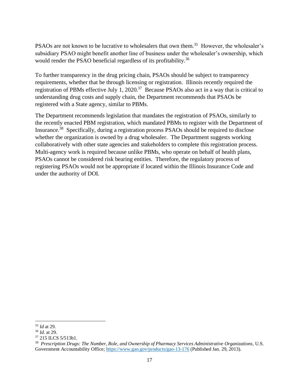PSAOs are not known to be lucrative to wholesalers that own them.<sup>35</sup> However, the wholesaler's subsidiary PSAO might benefit another line of business under the wholesaler's ownership, which would render the PSAO beneficial regardless of its profitability.<sup>36</sup>

To further transparency in the drug pricing chain, PSAOs should be subject to transparency requirements, whether that be through licensing or registration. Illinois recently required the registration of PBMs effective July 1, 2020.<sup>37</sup> Because PSAOs also act in a way that is critical to understanding drug costs and supply chain, the Department recommends that PSAOs be registered with a State agency, similar to PBMs.

The Department recommends legislation that mandates the registration of PSAOs, similarly to the recently enacted PBM registration, which mandated PBMs to register with the Department of Insurance.<sup>38</sup> Specifically, during a registration process PSAOs should be required to disclose whether the organization is owned by a drug wholesaler. The Department suggests working collaboratively with other state agencies and stakeholders to complete this registration process. Multi-agency work is required because unlike PBMs, who operate on behalf of health plans, PSAOs cannot be considered risk bearing entities. Therefore, the regulatory process of registering PSAOs would not be appropriate if located within the Illinois Insurance Code and under the authority of DOI.

<sup>35</sup> *Id* at 29.

<sup>36</sup> *Id*. at 29.

<sup>37</sup> 215 ILCS 5/513b1.

<sup>38</sup> *Prescription Drugs: The Number, Role, and Ownership of Pharmacy Services Administrative Organizations*, U.S. Government Accountability Office;<https://www.gao.gov/products/gao-13-176> (Published Jan. 29, 2013).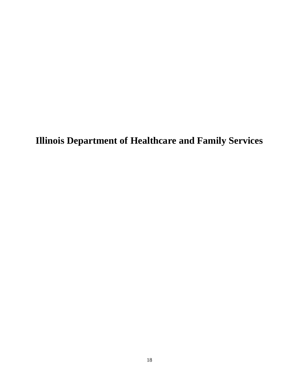**Illinois Department of Healthcare and Family Services**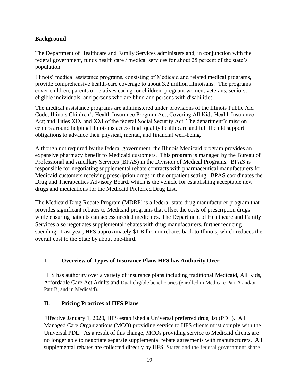## **Background**

The Department of Healthcare and Family Services administers and, in conjunction with the federal government, funds health care / medical services for about 25 percent of the state's population.

Illinois' medical assistance programs, consisting of Medicaid and related medical programs, provide comprehensive health-care coverage to about 3.2 million Illinoisans. The programs cover children, parents or relatives caring for children, pregnant women, veterans, seniors, eligible individuals, and persons who are blind and persons with disabilities.

The medical assistance programs are administered under provisions of the Illinois Public Aid Code; Illinois Children's Health Insurance Program Act; Covering All Kids Health Insurance Act; and Titles XIX and XXI of the federal Social Security Act. The department's mission centers around helping Illinoisans access high quality health care and fulfill child support obligations to advance their physical, mental, and financial well-being.

Although not required by the federal government, the Illinois Medicaid program provides an expansive pharmacy benefit to Medicaid customers. This program is managed by the Bureau of Professional and Ancillary Services (BPAS) in the Division of Medical Programs. BPAS is responsible for negotiating supplemental rebate contracts with pharmaceutical manufacturers for Medicaid customers receiving prescription drugs in the outpatient setting. BPAS coordinates the Drug and Therapeutics Advisory Board, which is the vehicle for establishing acceptable new drugs and medications for the Medicaid Preferred Drug List.

The Medicaid Drug Rebate Program (MDRP) is a federal-state-drug manufacturer program that provides significant rebates to Medicaid programs that offset the costs of prescription drugs while ensuring patients can access needed medicines. The Department of Healthcare and Family Services also negotiates supplemental rebates with drug manufacturers, further reducing spending. Last year, HFS approximately \$1 Billion in rebates back to Illinois, which reduces the overall cost to the State by about one-third.

# **I. Overview of Types of Insurance Plans HFS has Authority Over**

HFS has authority over a variety of insurance plans including traditional Medicaid, All Kids, Affordable Care Act Adults and Dual-eligible beneficiaries (enrolled in Medicare Part A and/or Part B, and in Medicaid).

# **II. Pricing Practices of HFS Plans**

Effective January 1, 2020, HFS established a Universal preferred drug list (PDL). All Managed Care Organizations (MCO) providing service to HFS clients must comply with the Universal PDL. As a result of this change, MCOs providing service to Medicaid clients are no longer able to negotiate separate supplemental rebate agreements with manufacturers. All supplemental rebates are collected directly by HFS. States and the federal government share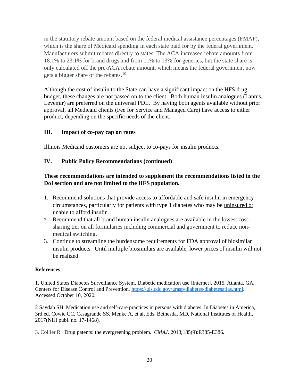in the statutory rebate amount based on the federal medical assistance percentages (FMAP), which is the share of Medicaid spending in each state paid for by the federal government. Manufacturers submit rebates directly to states. The ACA increased rebate amounts from 18.1% to 23.1% for brand drugs and from 11% to 13% for generics, but the state share is only calculated off the pre-ACA rebate amount, which means the federal government now gets a bigger share of the rebates.<sup>10</sup>

Although the cost of insulin to the State can have a significant impact on the HFS drug budget, these changes are not passed on to the client. Both human insulin analogues (Lantus, Levemir) are preferred on the universal PDL. By having both agents available without prior approval, all Medicaid clients (Fee for Service and Managed Care) have access to either product, depending on the specific needs of the client.

## **III. Impact of co-pay cap on rates**

Illinois Medicaid customers are not subject to co-pays for insulin products.

## **IV. Public Policy Recommendations (continued)**

## **These recommendations are intended to supplement the recommendations listed in the DoI section and are not limited to the HFS population.**

- 1. Recommend solutions that provide access to affordable and safe insulin in emergency circumstances, particularly for patients with type 1 diabetes who may be uninsured or unable to afford insulin.
- 2. Recommend that all brand human insulin analogues are available in the lowest costsharing tier on all formularies including commercial and government to reduce nonmedical switching.
- 3. Continue to streamline the burdensome requirements for FDA approval of biosimilar insulin products. Until multiple biosimilars are available, lower prices of insulin will not be realized.

#### **References**

1. United States Diabetes Surveillance System. Diabetic medication use [Internet], 2015. Atlanta, GA, Centers for Disease Control and Prevention. [https://gis.cdc.gov/grasp/diabetes/diabetesatlas.html.](https://gis.cdc.gov/grasp/diabetes/diabetesatlas.html) Accessed October 10, 2020.

2 Saydah SH. Medication use and self-care practices in persons with diabetes. In Diabetes in America, 3rd ed. Cowie CC, Casagrande SS, Menke A, et al, Eds. Bethesda, MD, National Institutes of Health, 2017(NIH publ. no. 17-1468).

3. Collier R. Drug patents: the evergreening problem. *CMAJ*. 2013;185(9):E385-E386.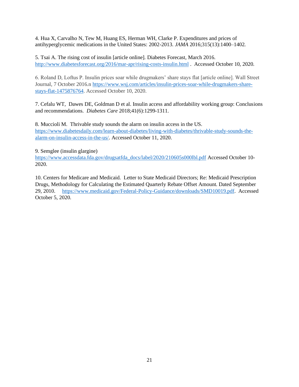4. Hua X, Carvalho N, Tew M, Huang ES, Herman WH, Clarke P. Expenditures and prices of antihyperglycemic medications in the United States: 2002-2013. *JAMA* 2016;315(13):1400–1402.

5. Tsai A. The rising cost of insulin [article online]. Diabetes Forecast, March 2016. <http://www.diabetesforecast.org/2016/mar-apr/rising-costs-insulin.html> . Accessed October 10, 2020.

6. Roland D, Loftus P. Insulin prices soar while drugmakers' share stays flat [article online]. Wall Street Journal, 7 October 2016.n [https://www.wsj.com/articles/insulin-prices-soar-while-drugmakers-share](https://www.wsj.com/articles/insulin-prices-soar-while-drugmakers-share-stays-flat-1475876764)[stays-flat-1475876764.](https://www.wsj.com/articles/insulin-prices-soar-while-drugmakers-share-stays-flat-1475876764) Accessed October 10, 2020.

7. Cefalu WT, Dawes DE, Goldman D et al. Insulin access and affordability working group: Conclusions and recommendations. *Diabetes Care* 2018;41(6):1299-1311.

8. Muccioli M. Thrivable study sounds the alarm on insulin access in the US. [https://www.diabetesdaily.com/learn-about-diabetes/living-with-diabetes/thrivable-study-sounds-the](https://www.diabetesdaily.com/learn-about-diabetes/living-with-diabetes/thrivable-study-sounds-the-alarm-on-insulin-access-in-the-us/)[alarm-on-insulin-access-in-the-us/.](https://www.diabetesdaily.com/learn-about-diabetes/living-with-diabetes/thrivable-study-sounds-the-alarm-on-insulin-access-in-the-us/) Accessed October 11, 2020.

#### 9. Semglee (insulin glargine)

[https://www.accessdata.fda.gov/drugsatfda\\_docs/label/2020/210605s000lbl.pdf](https://www.accessdata.fda.gov/drugsatfda_docs/label/2020/210605s000lbl.pdf) Accessed October 10- 2020.

10. Centers for Medicare and Medicaid. Letter to State Medicaid Directors; Re: Medicaid Prescription Drugs, Methodology for Calculating the Estimated Quarterly Rebate Offset Amount. Dated September 29, 2010. [https://www.medicaid.gov/Federal-Policy-Guidance/downloads/SMD10019.pdf.](https://www.medicaid.gov/Federal-Policy-Guidance/downloads/SMD10019.pdf) Accessed October 5, 2020.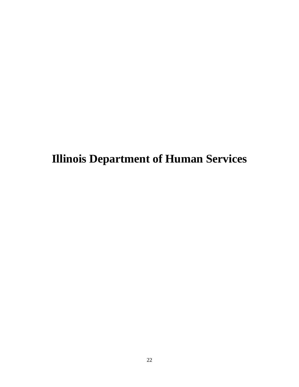**Illinois Department of Human Services**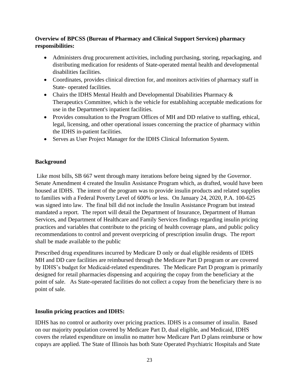## **Overview of BPCSS (Bureau of Pharmacy and Clinical Support Services) pharmacy responsibilities:**

- Administers drug procurement activities, including purchasing, storing, repackaging, and distributing medication for residents of State-operated mental health and developmental disabilities facilities.
- Coordinates, provides clinical direction for, and monitors activities of pharmacy staff in State- operated facilities.
- Chairs the IDHS Mental Health and Developmental Disabilities Pharmacy  $\&$ Therapeutics Committee, which is the vehicle for establishing acceptable medications for use in the Department's inpatient facilities.
- Provides consultation to the Program Offices of MH and DD relative to staffing, ethical, legal, licensing, and other operational issues concerning the practice of pharmacy within the IDHS in-patient facilities.
- Serves as User Project Manager for the IDHS Clinical Information System.

## **Background**

Like most bills, SB 667 went through many iterations before being signed by the Governor. Senate Amendment 4 created the Insulin Assistance Program which, as drafted, would have been housed at IDHS. The intent of the program was to provide insulin products and related supplies to families with a Federal Poverty Level of 600% or less. On January 24, 2020, P.A. 100-625 was signed into law. The final bill did not include the Insulin Assistance Program but instead mandated a report. The report will detail the Department of Insurance, Department of Human Services, and Department of Healthcare and Family Services findings regarding insulin pricing practices and variables that contribute to the pricing of health coverage plans, and public policy recommendations to control and prevent overpricing of prescription insulin drugs. The report shall be made available to the public

Prescribed drug expenditures incurred by Medicare D only or dual eligible residents of IDHS MH and DD care facilities are reimbursed through the Medicare Part D program or are covered by IDHS's budget for Medicaid-related expenditures. The Medicare Part D program is primarily designed for retail pharmacies dispensing and acquiring the copay from the beneficiary at the point of sale. As State-operated facilities do not collect a copay from the beneficiary there is no point of sale.

## **Insulin pricing practices and IDHS:**

IDHS has no control or authority over pricing practices. IDHS is a consumer of insulin. Based on our majority population covered by Medicare Part D, dual eligible, and Medicaid, IDHS covers the related expenditure on insulin no matter how Medicare Part D plans reimburse or how copays are applied. The State of Illinois has both State Operated Psychiatric Hospitals and State